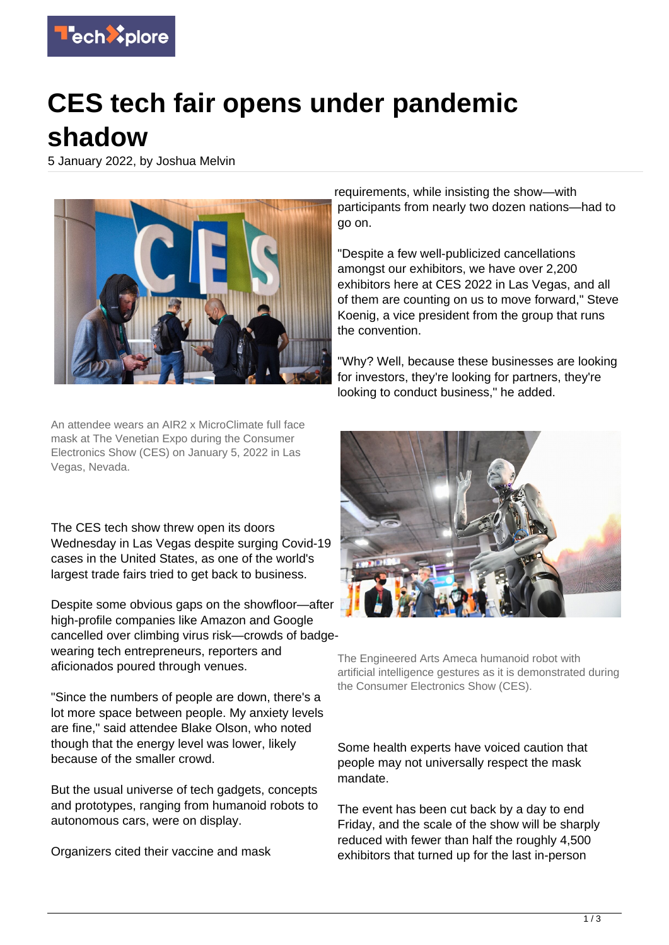

## **CES tech fair opens under pandemic shadow**

5 January 2022, by Joshua Melvin



requirements, while insisting the show—with participants from nearly two dozen nations—had to go on.

"Despite a few well-publicized cancellations amongst our exhibitors, we have over 2,200 exhibitors here at CES 2022 in Las Vegas, and all of them are counting on us to move forward," Steve Koenig, a vice president from the group that runs the convention.

"Why? Well, because these businesses are looking for investors, they're looking for partners, they're looking to conduct business," he added.

An attendee wears an AIR2 x MicroClimate full face mask at The Venetian Expo during the Consumer Electronics Show (CES) on January 5, 2022 in Las Vegas, Nevada.

The CES tech show threw open its doors Wednesday in Las Vegas despite surging Covid-19 cases in the United States, as one of the world's largest trade fairs tried to get back to business.

Despite some obvious gaps on the showfloor—after high-profile companies like Amazon and Google cancelled over climbing virus risk—crowds of badge wearing tech entrepreneurs, reporters and aficionados poured through venues.

"Since the numbers of people are down, there's a lot more space between people. My anxiety levels are fine," said attendee Blake Olson, who noted though that the energy level was lower, likely because of the smaller crowd.

But the usual universe of tech gadgets, concepts and prototypes, ranging from humanoid robots to autonomous cars, were on display.

Organizers cited their vaccine and mask



The Engineered Arts Ameca humanoid robot with artificial intelligence gestures as it is demonstrated during the Consumer Electronics Show (CES).

Some health experts have voiced caution that people may not universally respect the mask mandate.

The event has been cut back by a day to end Friday, and the scale of the show will be sharply reduced with fewer than half the roughly 4,500 exhibitors that turned up for the last in-person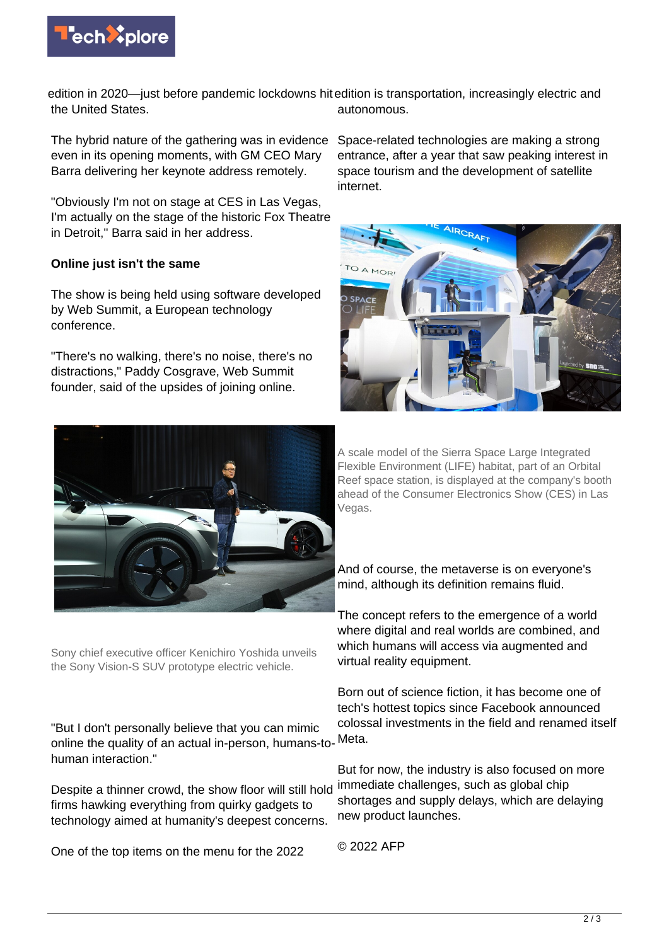

edition in 2020—just before pandemic lockdowns hit edition is transportation, increasingly electric and the United States. autonomous.

The hybrid nature of the gathering was in evidence even in its opening moments, with GM CEO Mary Barra delivering her keynote address remotely.

"Obviously I'm not on stage at CES in Las Vegas, I'm actually on the stage of the historic Fox Theatre in Detroit," Barra said in her address.

## **Online just isn't the same**

The show is being held using software developed by Web Summit, a European technology conference.

"There's no walking, there's no noise, there's no distractions," Paddy Cosgrave, Web Summit founder, said of the upsides of joining online.

Space-related technologies are making a strong entrance, after a year that saw peaking interest in space tourism and the development of satellite internet.





Sony chief executive officer Kenichiro Yoshida unveils the Sony Vision-S SUV prototype electric vehicle.

"But I don't personally believe that you can mimic online the quality of an actual in-person, humans-tohuman interaction."

Despite a thinner crowd, the show floor will still hold firms hawking everything from quirky gadgets to technology aimed at humanity's deepest concerns.

One of the top items on the menu for the 2022

A scale model of the Sierra Space Large Integrated Flexible Environment (LIFE) habitat, part of an Orbital Reef space station, is displayed at the company's booth ahead of the Consumer Electronics Show (CES) in Las Vegas.

And of course, the metaverse is on everyone's mind, although its definition remains fluid.

The concept refers to the emergence of a world where digital and real worlds are combined, and which humans will access via augmented and virtual reality equipment.

Born out of science fiction, it has become one of tech's hottest topics since Facebook announced colossal investments in the field and renamed itself Meta.

But for now, the industry is also focused on more immediate challenges, such as global chip shortages and supply delays, which are delaying new product launches.

© 2022 AFP